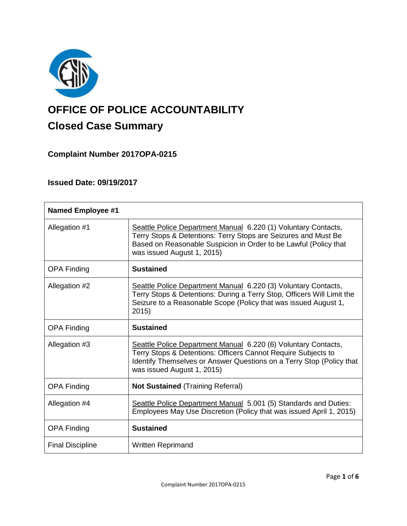

# **OFFICE OF POLICE ACCOUNTABILITY**

# **Closed Case Summary**

## **Complaint Number 2017OPA-0215**

## **Issued Date: 09/19/2017**

| <b>Named Employee #1</b> |                                                                                                                                                                                                                                       |
|--------------------------|---------------------------------------------------------------------------------------------------------------------------------------------------------------------------------------------------------------------------------------|
| Allegation #1            | Seattle Police Department Manual 6.220 (1) Voluntary Contacts,<br>Terry Stops & Detentions: Terry Stops are Seizures and Must Be<br>Based on Reasonable Suspicion in Order to be Lawful (Policy that<br>was issued August 1, 2015)    |
| <b>OPA Finding</b>       | <b>Sustained</b>                                                                                                                                                                                                                      |
| Allegation #2            | Seattle Police Department Manual 6.220 (3) Voluntary Contacts,<br>Terry Stops & Detentions: During a Terry Stop, Officers Will Limit the<br>Seizure to a Reasonable Scope (Policy that was issued August 1,<br>2015)                  |
| <b>OPA Finding</b>       | <b>Sustained</b>                                                                                                                                                                                                                      |
| Allegation #3            | Seattle Police Department Manual 6.220 (6) Voluntary Contacts,<br>Terry Stops & Detentions: Officers Cannot Require Subjects to<br>Identify Themselves or Answer Questions on a Terry Stop (Policy that<br>was issued August 1, 2015) |
| <b>OPA Finding</b>       | <b>Not Sustained (Training Referral)</b>                                                                                                                                                                                              |
| Allegation #4            | Seattle Police Department Manual 5.001 (5) Standards and Duties:<br>Employees May Use Discretion (Policy that was issued April 1, 2015)                                                                                               |
| <b>OPA Finding</b>       | <b>Sustained</b>                                                                                                                                                                                                                      |
| <b>Final Discipline</b>  | <b>Written Reprimand</b>                                                                                                                                                                                                              |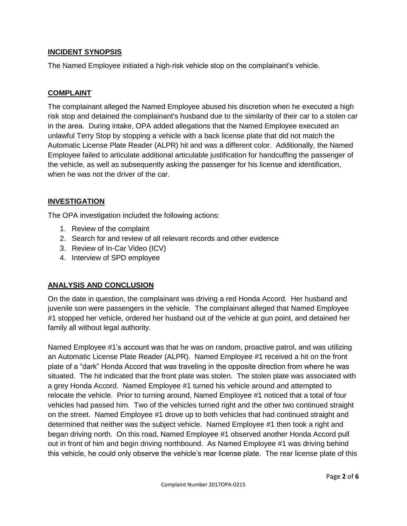#### **INCIDENT SYNOPSIS**

The Named Employee initiated a high-risk vehicle stop on the complainant's vehicle.

#### **COMPLAINT**

The complainant alleged the Named Employee abused his discretion when he executed a high risk stop and detained the complainant's husband due to the similarity of their car to a stolen car in the area. During intake, OPA added allegations that the Named Employee executed an unlawful Terry Stop by stopping a vehicle with a back license plate that did not match the Automatic License Plate Reader (ALPR) hit and was a different color. Additionally, the Named Employee failed to articulate additional articulable justification for handcuffing the passenger of the vehicle, as well as subsequently asking the passenger for his license and identification, when he was not the driver of the car.

#### **INVESTIGATION**

The OPA investigation included the following actions:

- 1. Review of the complaint
- 2. Search for and review of all relevant records and other evidence
- 3. Review of In-Car Video (ICV)
- 4. Interview of SPD employee

#### **ANALYSIS AND CONCLUSION**

On the date in question, the complainant was driving a red Honda Accord. Her husband and juvenile son were passengers in the vehicle. The complainant alleged that Named Employee #1 stopped her vehicle, ordered her husband out of the vehicle at gun point, and detained her family all without legal authority.

Named Employee #1's account was that he was on random, proactive patrol, and was utilizing an Automatic License Plate Reader (ALPR). Named Employee #1 received a hit on the front plate of a "dark" Honda Accord that was traveling in the opposite direction from where he was situated. The hit indicated that the front plate was stolen. The stolen plate was associated with a grey Honda Accord. Named Employee #1 turned his vehicle around and attempted to relocate the vehicle. Prior to turning around, Named Employee #1 noticed that a total of four vehicles had passed him. Two of the vehicles turned right and the other two continued straight on the street. Named Employee #1 drove up to both vehicles that had continued straight and determined that neither was the subject vehicle. Named Employee #1 then took a right and began driving north. On this road, Named Employee #1 observed another Honda Accord pull out in front of him and begin driving northbound. As Named Employee #1 was driving behind this vehicle, he could only observe the vehicle's rear license plate. The rear license plate of this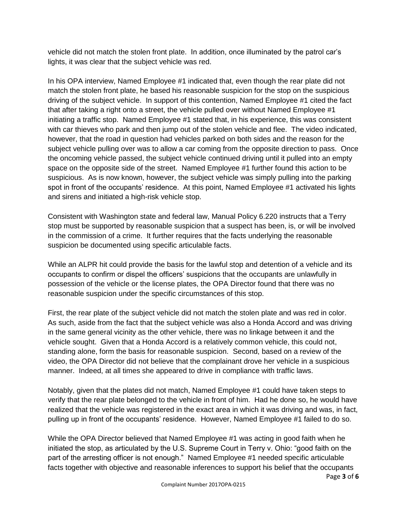vehicle did not match the stolen front plate. In addition, once illuminated by the patrol car's lights, it was clear that the subject vehicle was red.

In his OPA interview, Named Employee #1 indicated that, even though the rear plate did not match the stolen front plate, he based his reasonable suspicion for the stop on the suspicious driving of the subject vehicle. In support of this contention, Named Employee #1 cited the fact that after taking a right onto a street, the vehicle pulled over without Named Employee #1 initiating a traffic stop. Named Employee #1 stated that, in his experience, this was consistent with car thieves who park and then jump out of the stolen vehicle and flee. The video indicated, however, that the road in question had vehicles parked on both sides and the reason for the subject vehicle pulling over was to allow a car coming from the opposite direction to pass. Once the oncoming vehicle passed, the subject vehicle continued driving until it pulled into an empty space on the opposite side of the street. Named Employee #1 further found this action to be suspicious. As is now known, however, the subject vehicle was simply pulling into the parking spot in front of the occupants' residence. At this point, Named Employee #1 activated his lights and sirens and initiated a high-risk vehicle stop.

Consistent with Washington state and federal law, Manual Policy 6.220 instructs that a Terry stop must be supported by reasonable suspicion that a suspect has been, is, or will be involved in the commission of a crime. It further requires that the facts underlying the reasonable suspicion be documented using specific articulable facts.

While an ALPR hit could provide the basis for the lawful stop and detention of a vehicle and its occupants to confirm or dispel the officers' suspicions that the occupants are unlawfully in possession of the vehicle or the license plates, the OPA Director found that there was no reasonable suspicion under the specific circumstances of this stop.

First, the rear plate of the subject vehicle did not match the stolen plate and was red in color. As such, aside from the fact that the subject vehicle was also a Honda Accord and was driving in the same general vicinity as the other vehicle, there was no linkage between it and the vehicle sought. Given that a Honda Accord is a relatively common vehicle, this could not, standing alone, form the basis for reasonable suspicion. Second, based on a review of the video, the OPA Director did not believe that the complainant drove her vehicle in a suspicious manner. Indeed, at all times she appeared to drive in compliance with traffic laws.

Notably, given that the plates did not match, Named Employee #1 could have taken steps to verify that the rear plate belonged to the vehicle in front of him. Had he done so, he would have realized that the vehicle was registered in the exact area in which it was driving and was, in fact, pulling up in front of the occupants' residence. However, Named Employee #1 failed to do so.

While the OPA Director believed that Named Employee #1 was acting in good faith when he initiated the stop, as articulated by the U.S. Supreme Court in Terry v. Ohio: "good faith on the part of the arresting officer is not enough." Named Employee #1 needed specific articulable facts together with objective and reasonable inferences to support his belief that the occupants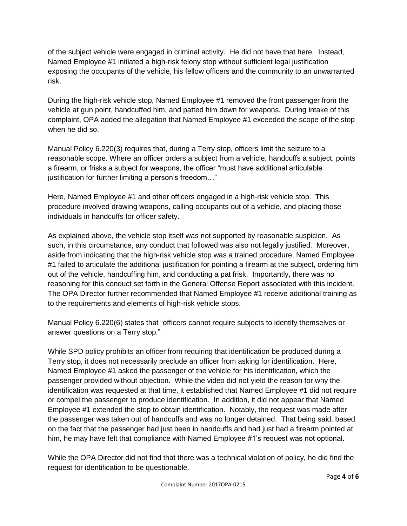of the subject vehicle were engaged in criminal activity. He did not have that here. Instead, Named Employee #1 initiated a high-risk felony stop without sufficient legal justification exposing the occupants of the vehicle, his fellow officers and the community to an unwarranted risk.

During the high-risk vehicle stop, Named Employee #1 removed the front passenger from the vehicle at gun point, handcuffed him, and patted him down for weapons. During intake of this complaint, OPA added the allegation that Named Employee #1 exceeded the scope of the stop when he did so.

Manual Policy 6.220(3) requires that, during a Terry stop, officers limit the seizure to a reasonable scope. Where an officer orders a subject from a vehicle, handcuffs a subject, points a firearm, or frisks a subject for weapons, the officer "must have additional articulable justification for further limiting a person's freedom..."

Here, Named Employee #1 and other officers engaged in a high-risk vehicle stop. This procedure involved drawing weapons, calling occupants out of a vehicle, and placing those individuals in handcuffs for officer safety.

As explained above, the vehicle stop itself was not supported by reasonable suspicion. As such, in this circumstance, any conduct that followed was also not legally justified. Moreover, aside from indicating that the high-risk vehicle stop was a trained procedure, Named Employee #1 failed to articulate the additional justification for pointing a firearm at the subject, ordering him out of the vehicle, handcuffing him, and conducting a pat frisk. Importantly, there was no reasoning for this conduct set forth in the General Offense Report associated with this incident. The OPA Director further recommended that Named Employee #1 receive additional training as to the requirements and elements of high-risk vehicle stops.

Manual Policy 6.220(6) states that "officers cannot require subjects to identify themselves or answer questions on a Terry stop."

While SPD policy prohibits an officer from requiring that identification be produced during a Terry stop, it does not necessarily preclude an officer from asking for identification. Here, Named Employee #1 asked the passenger of the vehicle for his identification, which the passenger provided without objection. While the video did not yield the reason for why the identification was requested at that time, it established that Named Employee #1 did not require or compel the passenger to produce identification. In addition, it did not appear that Named Employee #1 extended the stop to obtain identification. Notably, the request was made after the passenger was taken out of handcuffs and was no longer detained. That being said, based on the fact that the passenger had just been in handcuffs and had just had a firearm pointed at him, he may have felt that compliance with Named Employee #1's request was not optional.

While the OPA Director did not find that there was a technical violation of policy, he did find the request for identification to be questionable.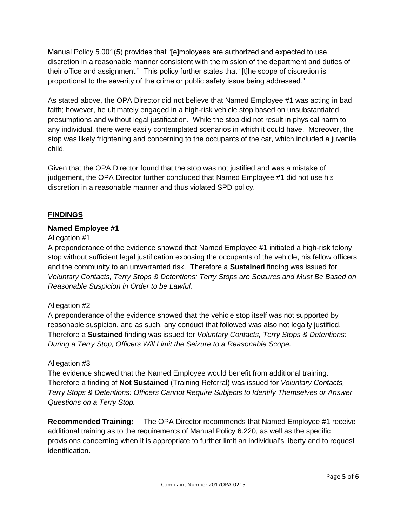Manual Policy 5.001(5) provides that "[e]mployees are authorized and expected to use discretion in a reasonable manner consistent with the mission of the department and duties of their office and assignment." This policy further states that "[t]he scope of discretion is proportional to the severity of the crime or public safety issue being addressed."

As stated above, the OPA Director did not believe that Named Employee #1 was acting in bad faith; however, he ultimately engaged in a high-risk vehicle stop based on unsubstantiated presumptions and without legal justification. While the stop did not result in physical harm to any individual, there were easily contemplated scenarios in which it could have. Moreover, the stop was likely frightening and concerning to the occupants of the car, which included a juvenile child.

Given that the OPA Director found that the stop was not justified and was a mistake of judgement, the OPA Director further concluded that Named Employee #1 did not use his discretion in a reasonable manner and thus violated SPD policy.

#### **FINDINGS**

#### **Named Employee #1**

#### Allegation #1

A preponderance of the evidence showed that Named Employee #1 initiated a high-risk felony stop without sufficient legal justification exposing the occupants of the vehicle, his fellow officers and the community to an unwarranted risk. Therefore a **Sustained** finding was issued for *Voluntary Contacts, Terry Stops & Detentions: Terry Stops are Seizures and Must Be Based on Reasonable Suspicion in Order to be Lawful.*

#### Allegation #2

A preponderance of the evidence showed that the vehicle stop itself was not supported by reasonable suspicion, and as such, any conduct that followed was also not legally justified. Therefore a **Sustained** finding was issued for *Voluntary Contacts, Terry Stops & Detentions: During a Terry Stop, Officers Will Limit the Seizure to a Reasonable Scope.*

#### Allegation #3

The evidence showed that the Named Employee would benefit from additional training. Therefore a finding of **Not Sustained** (Training Referral) was issued for *Voluntary Contacts, Terry Stops & Detentions: Officers Cannot Require Subjects to Identify Themselves or Answer Questions on a Terry Stop.*

**Recommended Training:** The OPA Director recommends that Named Employee #1 receive additional training as to the requirements of Manual Policy 6.220, as well as the specific provisions concerning when it is appropriate to further limit an individual's liberty and to request identification.